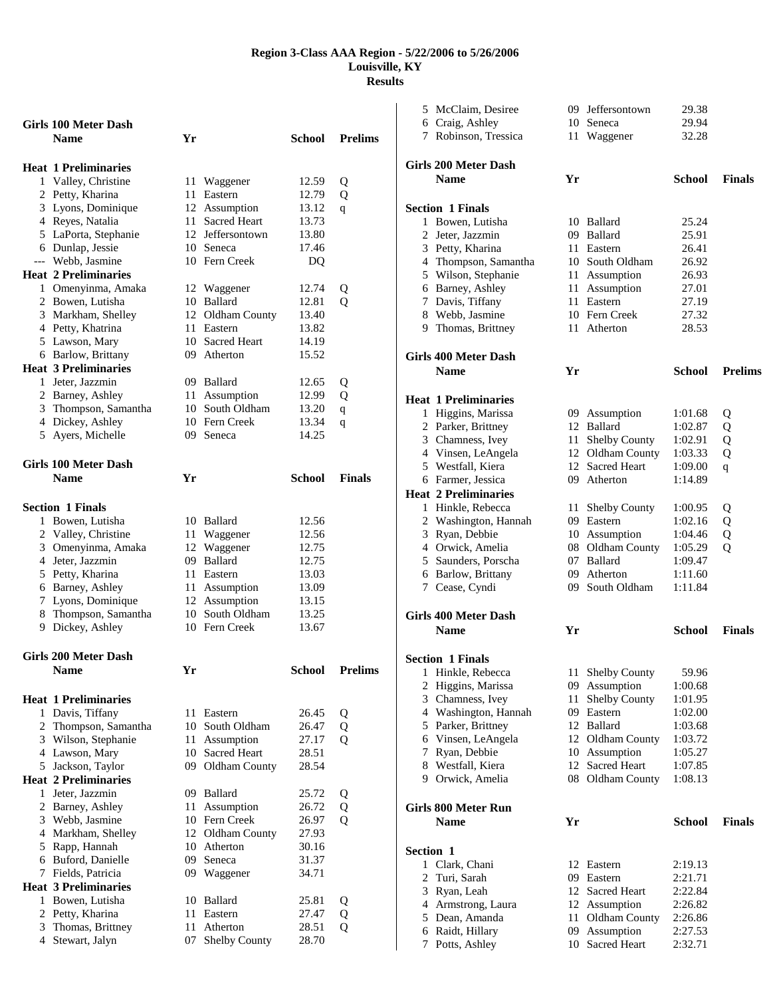|   | Girls 100 Meter Dash        |    |                  |               |                |
|---|-----------------------------|----|------------------|---------------|----------------|
|   | <b>Name</b>                 | Yr |                  | School        | <b>Prelims</b> |
|   |                             |    |                  |               |                |
|   | <b>Heat 1 Preliminaries</b> |    |                  |               |                |
| 1 | Valley, Christine           | 11 | Waggener         | 12.59         | Q              |
|   | 2 Petty, Kharina            | 11 | Eastern          | 12.79         | Q              |
|   | 3 Lyons, Dominique          |    | 12 Assumption    | 13.12         | q              |
|   | 4 Reyes, Natalia            |    | 11 Sacred Heart  | 13.73         |                |
|   | 5 LaPorta, Stephanie        | 12 | Jeffersontown    | 13.80         |                |
|   | 6 Dunlap, Jessie            |    | 10 Seneca        | 17.46         |                |
|   | --- Webb, Jasmine           |    | 10 Fern Creek    | DQ            |                |
|   | <b>Heat 2 Preliminaries</b> |    |                  |               |                |
|   | 1 Omenyinma, Amaka          |    | 12 Waggener      | 12.74         | Q              |
|   | 2 Bowen, Lutisha            |    | 10 Ballard       | 12.81         | $\overline{O}$ |
|   | 3 Markham, Shelley          |    | 12 Oldham County | 13.40         |                |
|   | 4 Petty, Khatrina           | 11 | Eastern          | 13.82         |                |
|   | 5 Lawson, Mary              |    | 10 Sacred Heart  | 14.19         |                |
|   | 6 Barlow, Brittany          |    | 09 Atherton      | 15.52         |                |
|   | <b>Heat 3 Preliminaries</b> |    |                  |               |                |
|   | 1 Jeter, Jazzmin            |    | 09 Ballard       | 12.65         | Q              |
|   | 2 Barney, Ashley            | 11 | Assumption       | 12.99         | Q              |
|   | 3 Thompson, Samantha        | 10 | South Oldham     | 13.20         | q              |
|   | 4 Dickey, Ashley            |    | 10 Fern Creek    | 13.34         | q              |
|   | 5 Ayers, Michelle           |    | 09 Seneca        | 14.25         |                |
|   |                             |    |                  |               |                |
|   | <b>Girls 100 Meter Dash</b> |    |                  |               |                |
|   | <b>Name</b>                 | Yr |                  | <b>School</b> | <b>Finals</b>  |
|   |                             |    |                  |               |                |
|   | <b>Section 1 Finals</b>     |    |                  |               |                |
| 1 | Bowen, Lutisha              | 10 | Ballard          | 12.56         |                |
|   | 2 Valley, Christine         | 11 | Waggener         | 12.56         |                |
|   | 3 Omenyinma, Amaka          | 12 | Waggener         | 12.75         |                |
|   | 4 Jeter, Jazzmin            | 09 | Ballard          | 12.75         |                |
|   | 5 Petty, Kharina            | 11 | Eastern          | 13.03         |                |
|   | 6 Barney, Ashley            | 11 | Assumption       | 13.09         |                |
|   | 7 Lyons, Dominique          |    | 12 Assumption    | 13.15         |                |
|   | 8 Thompson, Samantha        |    | 10 South Oldham  | 13.25         |                |
|   | 9 Dickey, Ashley            |    | 10 Fern Creek    | 13.67         |                |
|   |                             |    |                  |               |                |
|   | Girls 200 Meter Dash        |    |                  |               |                |
|   | <b>Name</b>                 | Yr |                  | School        | <b>Prelims</b> |
|   |                             |    |                  |               |                |
|   |                             |    |                  |               |                |
|   | <b>Heat 1 Preliminaries</b> |    |                  |               |                |
|   | 1 Davis, Tiffany            | 11 | Eastern          | 26.45         | Q              |
|   | 2 Thompson, Samantha        | 10 | South Oldham     | 26.47         | Q              |
|   | 3 Wilson, Stephanie         | 11 | Assumption       | 27.17         | О              |
|   | 4 Lawson, Mary              |    | 10 Sacred Heart  | 28.51         |                |
|   | 5 Jackson, Taylor           |    | 09 Oldham County | 28.54         |                |
|   | <b>Heat 2 Preliminaries</b> |    |                  |               |                |
|   | 1 Jeter, Jazzmin            |    | 09 Ballard       | 25.72         | Q              |
|   | 2 Barney, Ashley            | 11 | Assumption       | 26.72         | Q              |
|   | 3 Webb, Jasmine             |    | 10 Fern Creek    | 26.97         | Q              |
|   | 4 Markham, Shelley          |    | 12 Oldham County | 27.93         |                |
|   | 5 Rapp, Hannah              |    | 10 Atherton      | 30.16         |                |
|   | 6 Buford, Danielle          | 09 | Seneca           | 31.37         |                |
|   | 7 Fields, Patricia          | 09 | Waggener         | 34.71         |                |
|   | <b>Heat 3 Preliminaries</b> |    |                  |               |                |
|   | 1 Bowen, Lutisha            | 10 | Ballard          | 25.81         | Q              |
|   | 2 Petty, Kharina            | 11 | Eastern          | 27.47         | Q              |
|   | 3 Thomas, Brittney          | 11 | Atherton         | 28.51         | Q              |
|   | 4 Stewart, Jalyn            | 07 | Shelby County    | 28.70         |                |

|           | 5 McClaim, Desiree                 |          | 09 Jeffersontown            | 29.38              |                |
|-----------|------------------------------------|----------|-----------------------------|--------------------|----------------|
|           | 6 Craig, Ashley                    |          | 10 Seneca                   | 29.94              |                |
|           | 7 Robinson, Tressica               | 11       | Waggener                    | 32.28              |                |
|           | Girls 200 Meter Dash               |          |                             |                    |                |
|           | <b>Name</b>                        | Yr       |                             | School             | <b>Finals</b>  |
|           | <b>Section 1 Finals</b>            |          |                             |                    |                |
|           | 1 Bowen, Lutisha                   |          | 10 Ballard                  | 25.24              |                |
|           | 2 Jeter, Jazzmin                   | 09       | Ballard                     | 25.91              |                |
|           | 3 Petty, Kharina                   | 11       | Eastern                     | 26.41              |                |
|           | 4 Thompson, Samantha               |          | 10 South Oldham             | 26.92              |                |
|           | 5 Wilson, Stephanie                |          | 11 Assumption               | 26.93              |                |
|           | 6 Barney, Ashley                   |          | 11 Assumption               | 27.01              |                |
|           | 7 Davis, Tiffany                   | 11       | Eastern                     | 27.19              |                |
|           | 8 Webb, Jasmine                    |          | 10 Fern Creek               | 27.32              |                |
|           | 9 Thomas, Brittney                 |          | 11 Atherton                 | 28.53              |                |
|           | <b>Girls 400 Meter Dash</b>        |          |                             |                    |                |
|           | <b>Name</b>                        | Yr       |                             | School             | <b>Prelims</b> |
|           | <b>Heat 1 Preliminaries</b>        |          |                             |                    |                |
|           | 1 Higgins, Marissa                 |          | 09 Assumption               | 1:01.68            | Q              |
|           | 2 Parker, Brittney                 |          | 12 Ballard                  | 1:02.87            | Q              |
|           | 3 Chamness, Ivey                   |          | 11 Shelby County            | 1:02.91            | Q              |
|           | 4 Vinsen, LeAngela                 |          | 12 Oldham County            | 1:03.33            | Q              |
|           | 5 Westfall, Kiera                  |          | 12 Sacred Heart             | 1:09.00            | q              |
|           | 6 Farmer, Jessica                  |          | 09 Atherton                 | 1:14.89            |                |
|           | <b>Heat 2 Preliminaries</b>        |          |                             |                    |                |
|           | 1 Hinkle, Rebecca                  | 11       | <b>Shelby County</b>        | 1:00.95            | Q              |
|           | 2 Washington, Hannah               | 09       | Eastern                     | 1:02.16            | Q              |
|           | 3 Ryan, Debbie                     |          | 10 Assumption               | 1:04.46            | Q              |
|           | 4 Orwick, Amelia                   |          | 08 Oldham County            | 1:05.29            | Q              |
|           | 5 Saunders, Porscha                | 07       | Ballard                     | 1:09.47            |                |
|           | 6 Barlow, Brittany                 | 09       | Atherton                    | 1:11.60            |                |
|           | 7 Cease, Cyndi                     |          | 09 South Oldham             | 1:11.84            |                |
|           | <b>Girls 400 Meter Dash</b>        |          |                             |                    |                |
|           | <b>Name</b>                        | Yr       |                             | School             | <b>Finals</b>  |
|           | <b>Section 1 Finals</b>            |          |                             |                    |                |
| 1         | Hinkle, Rebecca                    | 11       | Shelby County               | 59.96              |                |
|           | 2 Higgins, Marissa                 | 09       | Assumption                  | 1:00.68            |                |
|           | 3 Chamness, Ivey                   | 11       | Shelby County               | 1:01.95            |                |
|           | 4 Washington, Hannah               | 09       | Eastern                     | 1:02.00            |                |
|           | 5 Parker, Brittney                 | 12       | Ballard                     | 1:03.68            |                |
|           | 6 Vinsen, LeAngela                 |          | 12 Oldham County            | 1:03.72            |                |
|           | 7 Ryan, Debbie                     | 10       | Assumption                  | 1:05.27            |                |
|           | 8 Westfall, Kiera                  |          | 12 Sacred Heart             | 1:07.85            |                |
|           | 9 Orwick, Amelia                   |          | 08 Oldham County            | 1:08.13            |                |
|           | <b>Girls 800 Meter Run</b>         |          |                             |                    |                |
|           | <b>Name</b>                        | Yr       |                             | <b>School</b>      | <b>Finals</b>  |
| Section 1 |                                    |          |                             |                    |                |
|           | 1 Clark, Chani                     | 12       | Eastern                     | 2:19.13            |                |
| 2         | Turi, Sarah                        | 09       | Eastern                     | 2:21.71            |                |
|           | 3 Ryan, Leah                       | 12       | <b>Sacred Heart</b>         | 2:22.84            |                |
|           | 4 Armstrong, Laura                 | 12       | Assumption                  | 2:26.82            |                |
|           | 5 Dean, Amanda<br>6 Raidt, Hillary | 11<br>09 | Oldham County<br>Assumption | 2:26.86<br>2:27.53 |                |
| 7         | Potts, Ashley                      | 10       | Sacred Heart                | 2:32.71            |                |
|           |                                    |          |                             |                    |                |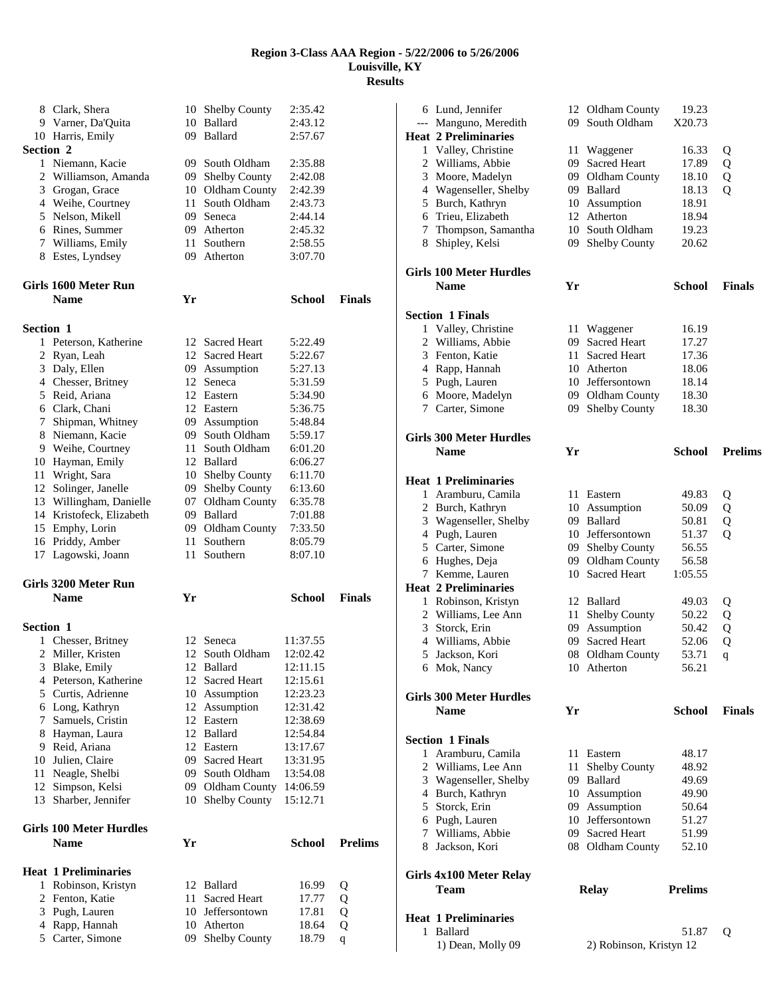|                  | 8 Clark, Shera                 |      | 10 Shelby County    | 2:35.42       |                |
|------------------|--------------------------------|------|---------------------|---------------|----------------|
|                  | 9 Varner, Da'Quita             |      | 10 Ballard          | 2:43.12       |                |
|                  | 10 Harris, Emily               |      | 09 Ballard          | 2:57.67       |                |
| <b>Section 2</b> |                                |      |                     |               |                |
|                  | 1 Niemann, Kacie               |      | 09 South Oldham     |               |                |
|                  |                                |      |                     | 2:35.88       |                |
|                  | 2 Williamson, Amanda           |      | 09 Shelby County    | 2:42.08       |                |
|                  | 3 Grogan, Grace                |      | 10 Oldham County    | 2:42.39       |                |
|                  | 4 Weihe, Courtney              | 11 - | South Oldham        | 2:43.73       |                |
|                  | 5 Nelson, Mikell               | 09.  | Seneca              | 2:44.14       |                |
|                  | 6 Rines, Summer                |      | 09 Atherton         | 2:45.32       |                |
|                  | 7 Williams, Emily              |      | 11 Southern         | 2:58.55       |                |
|                  | 8 Estes, Lyndsey               |      | 09 Atherton         | 3:07.70       |                |
|                  |                                |      |                     |               |                |
|                  | Girls 1600 Meter Run           |      |                     |               |                |
|                  | <b>Name</b>                    | Yr   |                     | <b>School</b> | <b>Finals</b>  |
| <b>Section 1</b> |                                |      |                     |               |                |
|                  |                                |      | 12 Sacred Heart     | 5:22.49       |                |
|                  | 1 Peterson, Katherine          |      |                     |               |                |
| 2                | Ryan, Leah                     |      | 12 Sacred Heart     | 5:22.67       |                |
| 3                | Daly, Ellen                    |      | 09 Assumption       | 5:27.13       |                |
|                  | 4 Chesser, Britney             | 12   | Seneca              | 5:31.59       |                |
|                  | 5 Reid, Ariana                 |      | 12 Eastern          | 5:34.90       |                |
|                  | 6 Clark, Chani                 |      | 12 Eastern          | 5:36.75       |                |
| 7                | Shipman, Whitney               |      | 09 Assumption       | 5:48.84       |                |
| 8                | Niemann, Kacie                 | 09   | South Oldham        | 5:59.17       |                |
|                  | 9 Weihe, Courtney              | 11 - | South Oldham        | 6:01.20       |                |
|                  | 10 Hayman, Emily               |      | 12 Ballard          | 6:06.27       |                |
| 11               | Wright, Sara                   | 10   | Shelby County       | 6:11.70       |                |
|                  | 12 Solinger, Janelle           | 09   | Shelby County       | 6:13.60       |                |
|                  | 13 Willingham, Danielle        | 07   | Oldham County       | 6:35.78       |                |
|                  | 14 Kristofeck, Elizabeth       |      | 09 Ballard          | 7:01.88       |                |
|                  | 15 Emphy, Lorin                |      | 09 Oldham County    | 7:33.50       |                |
|                  | 16 Priddy, Amber               | 11 - | Southern            | 8:05.79       |                |
|                  |                                |      | Southern            | 8:07.10       |                |
|                  |                                |      |                     |               |                |
|                  | 17 Lagowski, Joann             | 11 - |                     |               |                |
|                  | Girls 3200 Meter Run           |      |                     |               |                |
|                  | <b>Name</b>                    | Yr   |                     | <b>School</b> | <b>Finals</b>  |
|                  |                                |      |                     |               |                |
| <b>Section 1</b> |                                |      |                     |               |                |
|                  | 1 Chesser, Britney             |      | 12 Seneca           | 11:37.55      |                |
| 2                | Miller, Kristen                | 12   | South Oldham        | 12:02.42      |                |
|                  | 3 Blake, Emily                 |      | 12 Ballard          | 12:11.15      |                |
|                  | 4 Peterson, Katherine          | 12   | Sacred Heart        | 12:15.61      |                |
|                  | 5 Curtis, Adrienne             |      | 10 Assumption       | 12:23.23      |                |
|                  | 6 Long, Kathryn                | 12   | Assumption          | 12:31.42      |                |
| 7                | Samuels, Cristin               |      | 12 Eastern          | 12:38.69      |                |
| 8                | Hayman, Laura                  |      | 12 Ballard          | 12:54.84      |                |
| 9.               | Reid, Ariana                   |      | 12 Eastern          | 13:17.67      |                |
| 10               | Julien, Claire                 | 09   | <b>Sacred Heart</b> | 13:31.95      |                |
| 11               | Neagle, Shelbi                 | 09   | South Oldham        | 13:54.08      |                |
| 12               | Simpson, Kelsi                 | 09   | Oldham County       | 14:06.59      |                |
|                  | 13 Sharber, Jennifer           | 10   | Shelby County       | 15:12.71      |                |
|                  |                                |      |                     |               |                |
|                  | <b>Girls 100 Meter Hurdles</b> |      |                     |               |                |
|                  | <b>Name</b>                    | Yr   |                     | <b>School</b> | <b>Prelims</b> |
|                  | <b>Heat 1 Preliminaries</b>    |      |                     |               |                |
|                  | 1 Robinson, Kristyn            |      | 12 Ballard          | 16.99         | Q              |
| 2                | Fenton, Katie                  | 11   | Sacred Heart        | 17.77         |                |
| 3                | Pugh, Lauren                   |      | 10 Jeffersontown    | 17.81         | Q              |
| 4                | Rapp, Hannah                   |      | 10 Atherton         | 18.64         | Q<br>Q         |
|                  | 5 Carter, Simone               | 09   | Shelby County       | 18.79         | $\mathbf q$    |

| --- | 6 Lund, Jennifer<br>Manguno, Meredith<br><b>Heat 2 Preliminaries</b> | 12<br>09 | Oldham County<br>South Oldham            | 19.23<br>X20.73  |                |
|-----|----------------------------------------------------------------------|----------|------------------------------------------|------------------|----------------|
|     | 1 Valley, Christine                                                  | 11       | Waggener                                 | 16.33            | Q              |
|     | 2 Williams, Abbie                                                    | 09.      | <b>Sacred Heart</b>                      | 17.89            | Q              |
|     | 3 Moore, Madelyn                                                     | 09       | Oldham County                            | 18.10            | Q              |
|     | 4 Wagenseller, Shelby                                                |          | 09 Ballard                               | 18.13            | $\overline{Q}$ |
|     | 5 Burch, Kathryn                                                     |          | 10 Assumption                            | 18.91            |                |
|     | 6 Trieu, Elizabeth                                                   | 12       | Atherton                                 | 18.94            |                |
|     | 7 Thompson, Samantha                                                 | 10       | South Oldham                             | 19.23            |                |
| 8   | Shipley, Kelsi                                                       | 09-      | <b>Shelby County</b>                     | 20.62            |                |
|     | Girls 100 Meter Hurdles                                              |          |                                          |                  |                |
|     | <b>Name</b>                                                          | Yr       |                                          | <b>School</b>    | <b>Finals</b>  |
|     | <b>Section 1 Finals</b>                                              |          |                                          |                  |                |
|     | 1 Valley, Christine                                                  | 11       | Waggener                                 | 16.19            |                |
|     | 2 Williams, Abbie                                                    | 09.      | <b>Sacred Heart</b>                      | 17.27            |                |
|     | 3 Fenton, Katie                                                      | 11 -     | <b>Sacred Heart</b>                      | 17.36            |                |
|     | 4 Rapp, Hannah                                                       |          | 10 Atherton                              | 18.06            |                |
|     | 5 Pugh, Lauren                                                       | 10       | Jeffersontown                            | 18.14            |                |
|     | 6 Moore, Madelyn                                                     | 09       | 09 Oldham County<br><b>Shelby County</b> | 18.30            |                |
|     | 7 Carter, Simone                                                     |          |                                          | 18.30            |                |
|     | <b>Girls 300 Meter Hurdles</b>                                       |          |                                          |                  |                |
|     | <b>Name</b>                                                          | Yr       |                                          | <b>School</b>    | <b>Prelims</b> |
|     | <b>Heat 1 Preliminaries</b>                                          |          |                                          |                  |                |
|     | 1 Aramburu, Camila                                                   |          | 11 Eastern                               | 49.83            | Q              |
|     | 2 Burch, Kathryn                                                     |          | 10 Assumption                            | 50.09            | Q              |
|     | 3 Wagenseller, Shelby                                                |          | 09 Ballard                               | 50.81            | Q              |
|     | 4 Pugh, Lauren                                                       | 10       | Jeffersontown                            | 51.37            | Q              |
|     | 5 Carter, Simone                                                     | 09       | Shelby County                            | 56.55            |                |
|     | 6 Hughes, Deja<br>7 Kemme, Lauren                                    |          | 09 Oldham County<br>10 Sacred Heart      | 56.58<br>1:05.55 |                |
|     | <b>Heat 2 Preliminaries</b>                                          |          |                                          |                  |                |
|     | 1 Robinson, Kristyn                                                  |          | 12 Ballard                               | 49.03            | Q              |
|     | 2 Williams, Lee Ann                                                  | 11       | Shelby County                            | 50.22            | Q              |
|     | 3 Storck, Erin                                                       | 09       | Assumption                               | 50.42            | Q              |
|     | 4 Williams, Abbie                                                    | 09       | <b>Sacred Heart</b>                      | 52.06            | Q              |
| 5   | Jackson, Kori                                                        | 08       | Oldham County                            | 53.71            | q              |
|     | 6 Mok, Nancy                                                         |          | 10 Atherton                              | 56.21            |                |
|     | Girls 300 Meter Hurdles                                              |          |                                          |                  |                |
|     | <b>Name</b>                                                          | Yr       |                                          | School           | <b>Finals</b>  |
|     | <b>Section 1 Finals</b>                                              |          |                                          |                  |                |
|     | 1 Aramburu, Camila                                                   |          | 11 Eastern                               | 48.17            |                |
|     | 2 Williams, Lee Ann                                                  | 11       | Shelby County                            | 48.92            |                |
|     | 3 Wagenseller, Shelby                                                |          | 09 Ballard                               | 49.69            |                |
|     | 4 Burch, Kathryn                                                     |          | 10 Assumption                            | 49.90            |                |
|     | 5 Storck, Erin                                                       |          | 09 Assumption                            | 50.64            |                |
|     | 6 Pugh, Lauren                                                       |          | 10 Jeffersontown                         | 51.27            |                |
|     | 7 Williams, Abbie                                                    |          | 09 Sacred Heart                          | 51.99            |                |
|     | 8 Jackson, Kori                                                      |          | 08 Oldham County                         | 52.10            |                |
|     | Girls 4x100 Meter Relay                                              |          |                                          |                  |                |
|     | <b>Team</b>                                                          |          | <b>Relay</b>                             | <b>Prelims</b>   |                |
|     | <b>Heat 1 Preliminaries</b>                                          |          |                                          |                  |                |
| 1   | Ballard                                                              |          |                                          | 51.87            | Q              |
|     | 1) Dean, Molly 09                                                    |          | 2) Robinson, Kristyn 12                  |                  |                |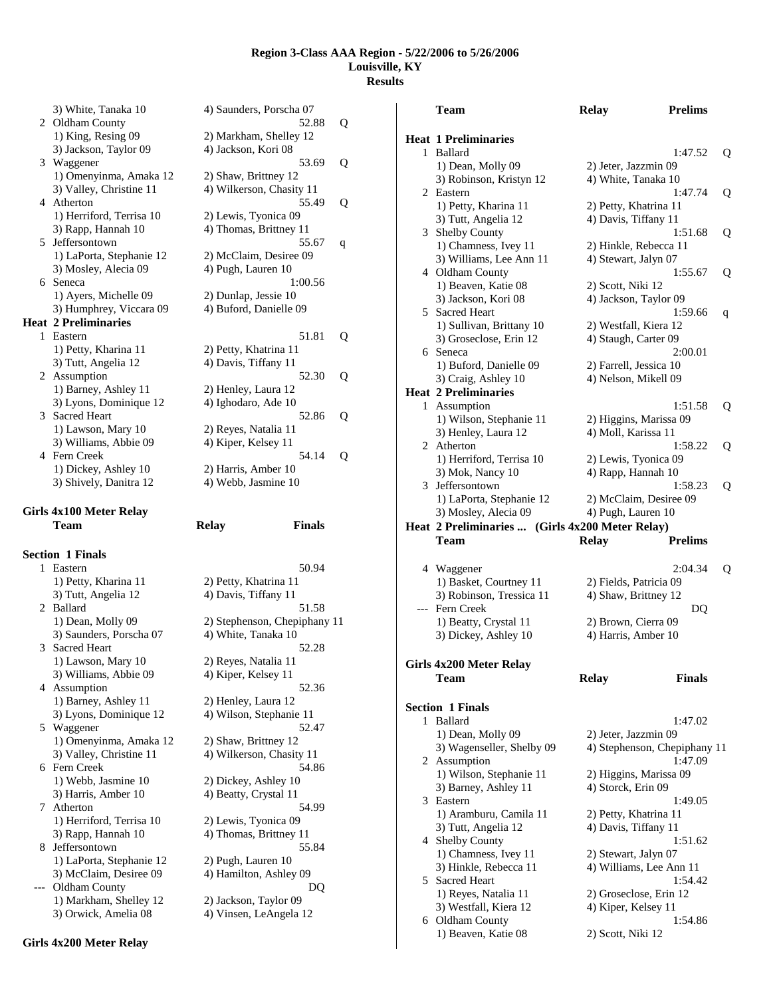| 3) White, Tanaka 10         | 4) Saunders, Porscha 07  |
|-----------------------------|--------------------------|
| 2 Oldham County             | 52.88                    |
| 1) King, Resing 09          | 2) Markham, Shelley 12   |
| 3) Jackson, Taylor 09       | 4) Jackson, Kori 08      |
| 3 Waggener                  | 53.69                    |
| 1) Omenyinma, Amaka 12      | 2) Shaw, Brittney 12     |
| 3) Valley, Christine 11     | 4) Wilkerson, Chasity 11 |
| 4 Atherton                  | 55.49                    |
| 1) Herriford, Terrisa 10    | 2) Lewis, Tyonica 09     |
| 3) Rapp, Hannah 10          | 4) Thomas, Brittney 11   |
| 5 Jeffersontown             | 55.67                    |
| 1) LaPorta, Stephanie 12    | 2) McClaim, Desiree 09   |
| 3) Mosley, Alecia 09        | 4) Pugh, Lauren 10       |
| 6 Seneca                    | 1:00.56                  |
| 1) Ayers, Michelle 09       | 2) Dunlap, Jessie 10     |
| 3) Humphrey, Viccara 09     | 4) Buford, Danielle 09   |
| <b>Heat 2 Preliminaries</b> |                          |
| 1 Eastern                   | 51.81                    |
| 1) Petty, Kharina 11        | 2) Petty, Khatrina 11    |
| 3) Tutt, Angelia 12         | 4) Davis, Tiffany 11     |
| 2 Assumption                | 52.30                    |
| 1) Barney, Ashley 11        | 2) Henley, Laura 12      |
| 3) Lyons, Dominique 12      | 4) Ighodaro, Ade 10      |
| 3 Sacred Heart              | 52.86                    |
| 1) Lawson, Mary 10          | 2) Reyes, Natalia 11     |
| 3) Williams, Abbie 09       | 4) Kiper, Kelsey 11      |
| 4 Fern Creek                | 54.14                    |
| 1) Dickey, Ashley 10        | 2) Harris, Amber 10      |

## **Girls 4x100 Meter Relay**

**Section 1 Finals**  1 Eastern 1) Petty, Kharina 11 3) Tutt, Angelia 12 2 Ballard 1) Dean, Molly 09 3) Saunders, Porscha 07 3 Sacred Heart 1) Lawson, Mary 10 2) Reyes, Natalia 11 3) Williams, Abbie 09 4) Kiper, Kelsey 11 4 Assumption 52.36 1) Barney, Ashley 11 2) Henley, Laura 12 3) Lyons, Dominique 12 4) Wilson, Stephanie 11 5 Waggener 52.47 1) Omenyinma, Amaka 12 2) Shaw, Brittney 12 3) Valley, Christine 11 4) Wilkerson, Chasity 11 6 Fern Creek 54.86 1) Webb, Jasmine 10 2) Dickey, Ashley 10 3) Harris, Amber 10 4) Beatty, Crystal 11 7 Atherton 54.99 1) Herriford, Terrisa 10 2) Lewis, Tyonica 09 3) Rapp, Hannah 10 4) Thomas, Brittney 11 8 Jeffersontown 55.84 1) LaPorta, Stephanie 12 2) Pugh, Lauren 10 3) McClaim, Desiree 09 4) Hamilton, Ashley 09 --- Oldham County DQ 1) Markham, Shelley 12 2) Jackson, Taylor 09 3) Orwick, Amelia 08 4) Vinsen, LeAngela 12

|   | 3) White, Tanaka 10            | 4) Saunders, Porscha 07       |   |
|---|--------------------------------|-------------------------------|---|
|   | 2 Oldham County                | 52.88                         | Q |
|   | 1) King, Resing 09             | 2) Markham, Shelley 12        |   |
|   | 3) Jackson, Taylor 09          | 4) Jackson, Kori 08           |   |
|   | 3 Waggener                     | 53.69                         | Q |
|   | 1) Omenyinma, Amaka 12         | 2) Shaw, Brittney 12          |   |
|   | 3) Valley, Christine 11        | 4) Wilkerson, Chasity 11      |   |
| 4 | Atherton                       | 55.49                         | Q |
|   | 1) Herriford, Terrisa 10       | 2) Lewis, Tyonica 09          |   |
|   | 3) Rapp, Hannah 10             | 4) Thomas, Brittney 11        |   |
| 5 | Jeffersontown                  | 55.67                         | q |
|   | 1) LaPorta, Stephanie 12       | 2) McClaim, Desiree 09        |   |
|   | 3) Mosley, Alecia 09           | 4) Pugh, Lauren 10            |   |
|   | 6 Seneca                       | 1:00.56                       |   |
|   | 1) Ayers, Michelle 09          | 2) Dunlap, Jessie 10          |   |
|   | 3) Humphrey, Viccara 09        | 4) Buford, Danielle 09        |   |
|   | at 2 Preliminaries             |                               |   |
| 1 | Eastern                        | 51.81                         | Q |
|   | 1) Petty, Kharina 11           | 2) Petty, Khatrina 11         |   |
|   | 3) Tutt, Angelia 12            | 4) Davis, Tiffany 11          |   |
|   | 2 Assumption                   | 52.30                         |   |
|   |                                |                               | Q |
|   | 1) Barney, Ashley 11           | 2) Henley, Laura 12           |   |
|   | 3) Lyons, Dominique 12         | 4) Ighodaro, Ade 10           |   |
| 3 | <b>Sacred Heart</b>            | 52.86                         | Q |
|   | 1) Lawson, Mary 10             | 2) Reyes, Natalia 11          |   |
|   | 3) Williams, Abbie 09          | 4) Kiper, Kelsey 11           |   |
| 4 | Fern Creek                     | 54.14                         | Q |
|   | 1) Dickey, Ashley 10           | 2) Harris, Amber 10           |   |
|   | 3) Shively, Danitra 12         | 4) Webb, Jasmine 10           |   |
|   |                                |                               |   |
|   | ls 4x100 Meter Relay           |                               |   |
|   | Team                           | <b>Finals</b><br><b>Relay</b> |   |
|   |                                |                               |   |
|   | tion 1 Finals                  |                               |   |
| 1 | Eastern                        | 50.94                         |   |
|   | 1) Petty, Kharina 11           | 2) Petty, Khatrina 11         |   |
|   | 3) Tutt, Angelia 12            | 4) Davis, Tiffany 11          |   |
|   | 2 Ballard                      | 51.58                         |   |
|   | 1) Dean, Molly 09              | 2) Stephenson, Chepiphany 11  |   |
|   | 3) Saunders, Porscha 07        | 4) White, Tanaka 10           |   |
| 3 | Sacred Heart                   | 52.28                         |   |
|   | $1 \times T$ $\cdots$ $M$ $10$ | $20.5 - 35.12.12.11$          |   |

|       | Team                                            | <b>Relay</b>           | <b>Prelims</b>               |   |
|-------|-------------------------------------------------|------------------------|------------------------------|---|
| 1     | <b>Heat 1 Preliminaries</b><br>Ballard          |                        | 1:47.52                      | Q |
|       | 1) Dean, Molly 09                               | 2) Jeter, Jazzmin 09   |                              |   |
|       | 3) Robinson, Kristyn 12                         | 4) White, Tanaka 10    |                              |   |
| 2     | Eastern                                         |                        | 1:47.74                      | Q |
|       | 1) Petty, Kharina 11                            | 2) Petty, Khatrina 11  |                              |   |
|       | 3) Tutt, Angelia 12                             | 4) Davis, Tiffany 11   |                              |   |
|       | 3 Shelby County                                 |                        | 1:51.68                      | Q |
|       | 1) Chamness, Ivey 11                            | 2) Hinkle, Rebecca 11  |                              |   |
|       | 3) Williams, Lee Ann 11                         | 4) Stewart, Jalyn 07   |                              |   |
|       | 4 Oldham County                                 |                        | 1:55.67                      | Q |
|       | 1) Beaven, Katie 08                             | 2) Scott, Niki 12      |                              |   |
|       | 3) Jackson, Kori 08                             | 4) Jackson, Taylor 09  |                              |   |
|       | 5 Sacred Heart                                  |                        | 1:59.66                      | q |
|       | 1) Sullivan, Brittany 10                        | 2) Westfall, Kiera 12  |                              |   |
|       | 3) Groseclose, Erin 12                          | 4) Staugh, Carter 09   |                              |   |
| 6     | Seneca                                          |                        | 2:00.01                      |   |
|       | 1) Buford, Danielle 09                          | 2) Farrell, Jessica 10 |                              |   |
|       | 3) Craig, Ashley 10                             | 4) Nelson, Mikell 09   |                              |   |
|       | <b>Heat 2 Preliminaries</b>                     |                        |                              |   |
|       | 1 Assumption                                    |                        | 1:51.58                      | Q |
|       | 1) Wilson, Stephanie 11                         |                        | 2) Higgins, Marissa 09       |   |
|       | 3) Henley, Laura 12<br>2 Atherton               | 4) Moll, Karissa 11    |                              |   |
|       | 1) Herriford, Terrisa 10                        | 2) Lewis, Tyonica 09   | 1:58.22                      | Q |
|       | 3) Mok, Nancy 10                                | 4) Rapp, Hannah 10     |                              |   |
|       | 3 Jeffersontown                                 |                        | 1:58.23                      | Q |
|       | 1) LaPorta, Stephanie 12                        |                        | 2) McClaim, Desiree 09       |   |
|       | 3) Mosley, Alecia 09                            | 4) Pugh, Lauren 10     |                              |   |
|       | Heat 2 Preliminaries  (Girls 4x200 Meter Relay) |                        |                              |   |
|       | Team                                            | <b>Relay</b>           | <b>Prelims</b>               |   |
|       |                                                 |                        |                              |   |
|       | 4 Waggener                                      |                        | 2:04.34                      | Q |
|       | 1) Basket, Courtney 11                          | 2) Fields, Patricia 09 |                              |   |
|       | 3) Robinson, Tressica 11                        | 4) Shaw, Brittney 12   |                              |   |
| $---$ | Fern Creek                                      |                        | DQ                           |   |
|       | 1) Beatty, Crystal 11                           | 2) Brown, Cierra 09    |                              |   |
|       | 3) Dickey, Ashley 10                            | 4) Harris, Amber 10    |                              |   |
|       |                                                 |                        |                              |   |
|       | Girls 4x200 Meter Relay                         |                        |                              |   |
|       | Team                                            | <b>Relay</b>           | <b>Finals</b>                |   |
|       |                                                 |                        |                              |   |
| 1     | <b>Section 1 Finals</b><br>Ballard              |                        | 1:47.02                      |   |
|       |                                                 |                        |                              |   |
|       | 1) Dean, Molly 09<br>3) Wagenseller, Shelby 09  | 2) Jeter, Jazzmin 09   | 4) Stephenson, Chepiphany 11 |   |
|       | 2 Assumption                                    |                        | 1:47.09                      |   |
|       | 1) Wilson, Stephanie 11                         |                        | 2) Higgins, Marissa 09       |   |
|       | 3) Barney, Ashley 11                            | 4) Storck, Erin 09     |                              |   |
|       | 3 Eastern                                       |                        | 1:49.05                      |   |
|       | 1) Aramburu, Camila 11                          | 2) Petty, Khatrina 11  |                              |   |
|       | 3) Tutt, Angelia 12                             | 4) Davis, Tiffany 11   |                              |   |
|       | 4 Shelby County                                 |                        | 1:51.62                      |   |
|       | 1) Chamness, Ivey 11                            | 2) Stewart, Jalyn 07   |                              |   |
|       | 3) Hinkle, Rebecca 11                           |                        | 4) Williams, Lee Ann 11      |   |
| 5     | <b>Sacred Heart</b>                             |                        | 1:54.42                      |   |
|       | 1) Reyes, Natalia 11                            |                        | 2) Groseclose, Erin 12       |   |
|       | 3) Westfall, Kiera 12                           |                        |                              |   |
|       |                                                 | 4) Kiper, Kelsey 11    |                              |   |

1) Beaven, Katie 08 2) Scott, Niki 12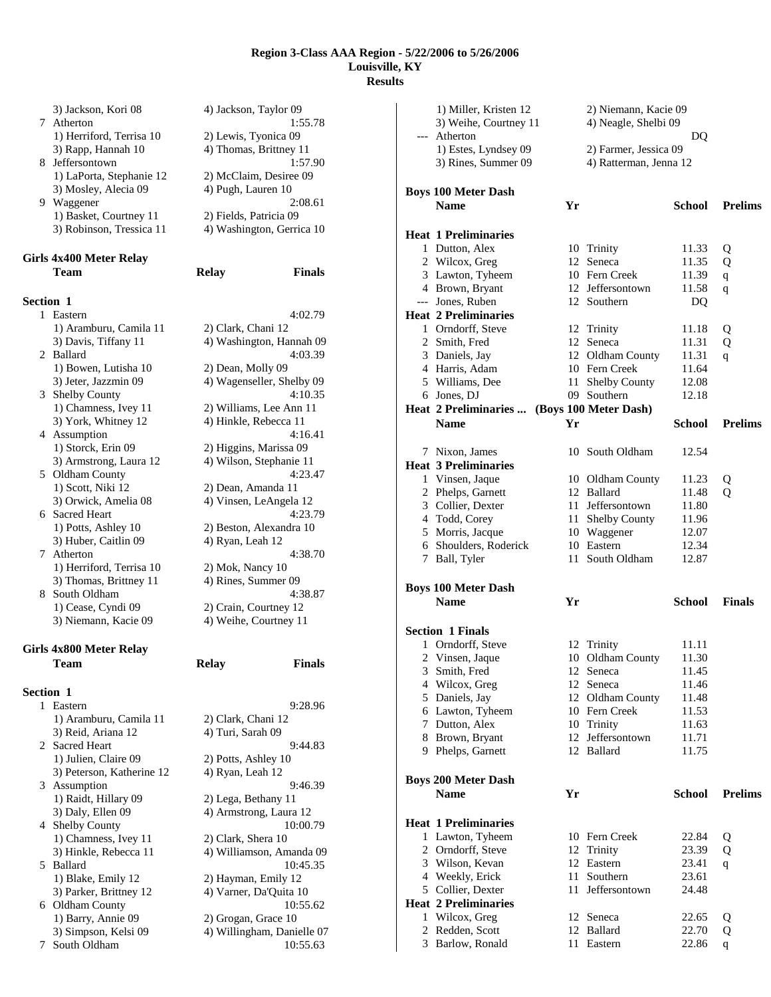|                  | 3) Jackson, Kori 08<br>7 Atherton              | 4) Jackson, Taylor 09                             | 1:55.78       |
|------------------|------------------------------------------------|---------------------------------------------------|---------------|
|                  | 1) Herriford, Terrisa 10<br>3) Rapp, Hannah 10 | 2) Lewis, Tyonica 09<br>4) Thomas, Brittney 11    |               |
| 8                | Jeffersontown                                  |                                                   | 1:57.90       |
|                  | 1) LaPorta, Stephanie 12                       | 2) McClaim, Desiree 09                            |               |
|                  | 3) Mosley, Alecia 09                           | 4) Pugh, Lauren 10                                |               |
|                  | 9 Waggener                                     |                                                   | 2:08.61       |
|                  | 1) Basket, Courtney 11                         | 2) Fields, Patricia 09                            |               |
|                  | 3) Robinson, Tressica 11                       | 4) Washington, Gerrica 10                         |               |
|                  | Girls 4x400 Meter Relay                        |                                                   |               |
|                  | Team                                           | <b>Relay</b>                                      | <b>Finals</b> |
| <b>Section 1</b> |                                                |                                                   |               |
| 1.               | Eastern                                        |                                                   | 4:02.79       |
|                  | 1) Aramburu, Camila 11                         | 2) Clark, Chani 12                                |               |
|                  | 3) Davis, Tiffany 11                           | 4) Washington, Hannah 09                          |               |
|                  | 2 Ballard                                      |                                                   | 4:03.39       |
|                  | 1) Bowen, Lutisha 10                           | 2) Dean, Molly 09                                 |               |
|                  | 3) Jeter, Jazzmin 09                           | 4) Wagenseller, Shelby 09                         |               |
| 3                | <b>Shelby County</b>                           |                                                   | 4:10.35       |
|                  | 1) Chamness, Ivey 11                           | 2) Williams, Lee Ann 11                           |               |
|                  | 3) York, Whitney 12                            | 4) Hinkle, Rebecca 11                             |               |
|                  | 4 Assumption                                   |                                                   | 4:16.41       |
|                  | 1) Storck, Erin 09                             | 2) Higgins, Marissa 09<br>4) Wilson, Stephanie 11 |               |
| 5                | 3) Armstrong, Laura 12                         |                                                   | 4:23.47       |
|                  | Oldham County<br>1) Scott, Niki 12             | 2) Dean, Amanda 11                                |               |
|                  | 3) Orwick, Amelia 08                           | 4) Vinsen, LeAngela 12                            |               |
|                  | 6 Sacred Heart                                 |                                                   | 4:23.79       |
|                  | 1) Potts, Ashley 10                            | 2) Beston, Alexandra 10                           |               |
|                  | 3) Huber, Caitlin 09                           | 4) Ryan, Leah 12                                  |               |
| 7                | Atherton                                       |                                                   | 4:38.70       |
|                  | 1) Herriford, Terrisa 10                       | 2) Mok, Nancy 10                                  |               |
|                  | 3) Thomas, Brittney 11                         | 4) Rines, Summer 09                               |               |
| 8.               | South Oldham                                   |                                                   | 4:38.87       |
|                  | 1) Cease, Cyndi 09                             | 2) Crain, Courtney 12                             |               |
|                  | 3) Niemann, Kacie 09                           | 4) Weihe, Courtney 11                             |               |
|                  | Girls 4x800 Meter Relay                        |                                                   |               |
|                  | Team                                           | Relay                                             | Finals        |
| Section 1        |                                                |                                                   |               |
| 1                | Eastern                                        |                                                   | 9:28.96       |
|                  | 1) Aramburu, Camila 11                         | 2) Clark, Chani 12                                |               |
|                  | 3) Reid, Ariana 12                             | 4) Turi, Sarah 09                                 |               |
| 2                | <b>Sacred Heart</b>                            |                                                   | 9:44.83       |
|                  | 1) Julien, Claire 09                           | 2) Potts, Ashley 10                               |               |
|                  | 3) Peterson, Katherine 12                      | 4) Ryan, Leah 12                                  |               |
| 3                | Assumption                                     |                                                   | 9:46.39       |
|                  | 1) Raidt, Hillary 09                           | 2) Lega, Bethany 11                               |               |
|                  | 3) Daly, Ellen 09                              | 4) Armstrong, Laura 12                            |               |
|                  | 4 Shelby County                                |                                                   | 10:00.79      |

4 Shelby County<br>
1) Chamness, Ivey 11 2) Clark, Shera 10

3) Hinkle, Rebecca 11 4) Williamson, Amanda 09 5 Ballard 10:45.35 1) Blake, Emily 12 2) Hayman, Emily 12<br>3) Parker, Brittney 12 4) Varner, Da'Quita 10

6 Oldham County 10:55.62<br>1) Barry, Annie 09 2) Grogan, Grace 10 1) Barry, Annie 09 2) Grogan, Grace 10<br>3) Simpson, Kelsi 09 4) Willingham, Dani

7 South Oldham 10:55.63

4) Varner, Da'Quita 10

4) Willingham, Danielle 07

1) Chamness, Ivey 11

| <b>Boys 100 Meter Dash</b>                  |    |                                   |                |                |
|---------------------------------------------|----|-----------------------------------|----------------|----------------|
| <b>Name</b>                                 | Yr |                                   | School         | <b>Prelims</b> |
|                                             |    |                                   |                |                |
| <b>Heat 1 Preliminaries</b>                 |    |                                   |                |                |
| 1 Dutton, Alex                              |    | 10 Trinity                        | 11.33          | Q              |
| 2 Wilcox, Greg                              |    | 12 Seneca                         | 11.35          | Q              |
| 3 Lawton, Tyheem                            |    | 10 Fern Creek                     | 11.39          | q              |
| 4 Brown, Bryant                             |    | 12 Jeffersontown                  | 11.58          | q              |
| --- Jones, Ruben                            |    | 12 Southern                       | DQ             |                |
| <b>Heat 2 Preliminaries</b>                 |    |                                   |                |                |
| 1 Orndorff, Steve                           |    | 12 Trinity                        |                |                |
| 2 Smith, Fred                               |    | 12 Seneca                         | 11.18<br>11.31 | Q              |
|                                             |    |                                   | 11.31          | Q              |
| 3 Daniels, Jay                              |    | 12 Oldham County<br>10 Fern Creek |                | q              |
| 4 Harris, Adam                              |    |                                   | 11.64          |                |
| 5 Williams, Dee                             |    | 11 Shelby County                  | 12.08          |                |
| 6 Jones, DJ                                 |    | 09 Southern                       | 12.18          |                |
| Heat 2 Preliminaries  (Boys 100 Meter Dash) |    |                                   |                |                |
| <b>Name</b>                                 | Yr |                                   | School         | <b>Prelims</b> |
|                                             |    |                                   |                |                |
| 7 Nixon, James                              |    | 10 South Oldham                   | 12.54          |                |
| <b>Heat 3 Preliminaries</b>                 |    |                                   |                |                |
| 1 Vinsen, Jaque                             |    | 10 Oldham County                  | 11.23          | Q              |
| 2 Phelps, Garnett                           |    | 12 Ballard                        | 11.48          | $\mathbf Q$    |
| 3 Collier, Dexter                           |    | 11 Jeffersontown                  | 11.80          |                |
| 4 Todd, Corey                               |    | 11 Shelby County                  | 11.96          |                |
| 5 Morris, Jacque                            |    | 10 Waggener                       | 12.07          |                |
| 6 Shoulders, Roderick                       |    | 10 Eastern                        | 12.34          |                |
| 7 Ball, Tyler                               |    | 11 South Oldham                   | 12.87          |                |
|                                             |    |                                   |                |                |
|                                             |    |                                   |                |                |
|                                             |    |                                   |                |                |
| <b>Boys 100 Meter Dash</b>                  |    |                                   |                |                |
| <b>Name</b>                                 | Yr |                                   | School         | <b>Finals</b>  |
|                                             |    |                                   |                |                |
| <b>Section 1 Finals</b>                     |    |                                   |                |                |
| 1 Orndorff, Steve                           |    | 12 Trinity                        | 11.11          |                |
| 2 Vinsen, Jaque                             |    | 10 Oldham County                  | 11.30          |                |
| 3 Smith, Fred                               |    | 12 Seneca                         | 11.45          |                |
| 4 Wilcox, Greg                              |    | 12 Seneca                         | 11.46          |                |
| 5 Daniels, Jay                              |    | 12 Oldham County                  | 11.48          |                |
| 6 Lawton, Tyheem                            |    | 10 Fern Creek                     | 11.53          |                |
| 7 Dutton, Alex                              |    | 10 Trinity                        | 11.63          |                |
| 8 Brown, Bryant                             |    | 12 Jeffersontown                  | 11.71          |                |
| 9 Phelps, Garnett                           |    | 12 Ballard                        | 11.75          |                |
|                                             |    |                                   |                |                |
| <b>Boys 200 Meter Dash</b>                  |    |                                   |                |                |
| <b>Name</b>                                 | Yr |                                   | <b>School</b>  | <b>Prelims</b> |
|                                             |    |                                   |                |                |
| <b>Heat 1 Preliminaries</b>                 |    |                                   |                |                |
| 1 Lawton, Tyheem                            |    | 10 Fern Creek                     | 22.84          | Q              |
| 2 Orndorff, Steve                           |    | 12 Trinity                        | 23.39          | Q              |
| 3 Wilson, Kevan                             |    | 12 Eastern                        | 23.41          | q              |
| 4 Weekly, Erick                             |    | 11 Southern                       | 23.61          |                |
| 5 Collier, Dexter                           | 11 | Jeffersontown                     | 24.48          |                |
| <b>Heat 2 Preliminaries</b>                 |    |                                   |                |                |
|                                             |    | 12 Seneca                         | 22.65          | Q              |
| 1 Wilcox, Greg<br>2 Redden, Scott           |    |                                   | 22.70          |                |
| 3 Barlow, Ronald                            |    | 12 Ballard<br>11 Eastern          | 22.86          | Q              |
|                                             |    |                                   |                | q              |
|                                             |    |                                   |                |                |

1) Miller, Kristen 12 2) Niemann, Kacie 09 3) Weihe, Courtney 11 4) Neagle, Shelbi 09 --- Atherton DQ 1) Estes, Lyndsey 09 2) Farmer, Jessica 09 3) Rines, Summer 09 4) Ratterman, Jenna 12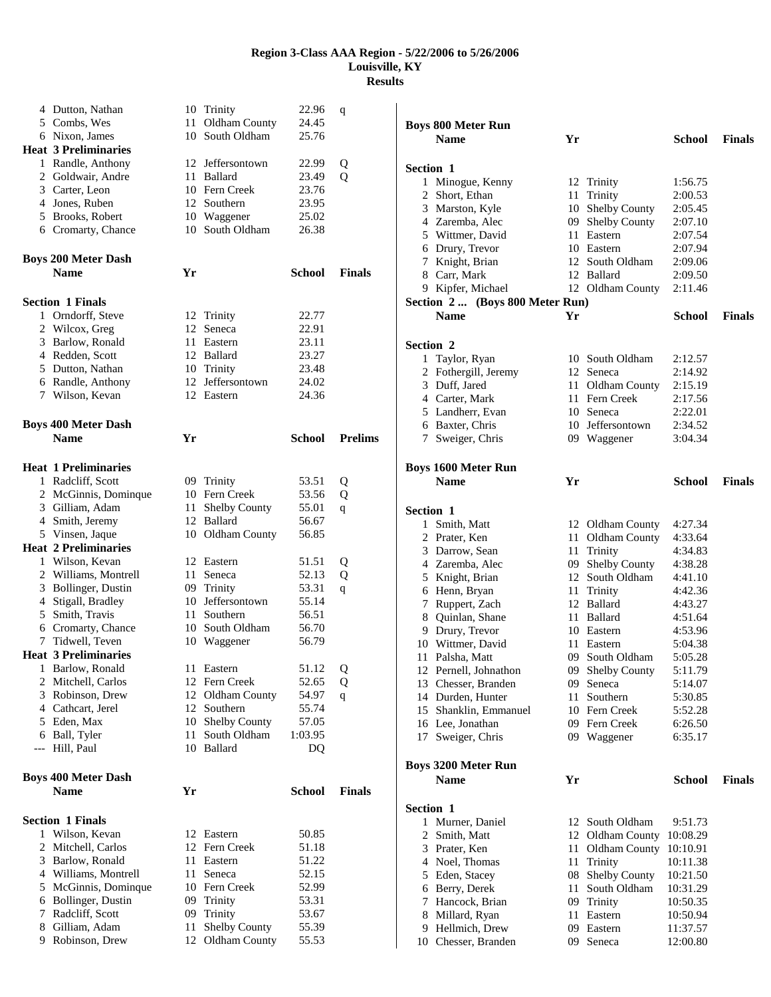|     | 4 Dutton, Nathan            |      | 10 Trinity           | 22.96         | q              |
|-----|-----------------------------|------|----------------------|---------------|----------------|
|     | 5 Combs, Wes                | 11 - | Oldham County        | 24.45         |                |
|     | 6 Nixon, James              | 10   | South Oldham         | 25.76         |                |
|     | <b>Heat 3 Preliminaries</b> |      |                      |               |                |
|     | 1 Randle, Anthony           |      | 12 Jeffersontown     | 22.99         | Q              |
|     | 2 Goldwair, Andre           |      | 11 Ballard           | 23.49         | Q              |
|     | 3 Carter, Leon              |      | 10 Fern Creek        | 23.76         |                |
|     | 4 Jones, Ruben              |      | 12 Southern          | 23.95         |                |
|     | 5 Brooks, Robert            |      | 10 Waggener          | 25.02         |                |
|     | 6 Cromarty, Chance          |      | 10 South Oldham      | 26.38         |                |
|     | <b>Boys 200 Meter Dash</b>  |      |                      |               |                |
|     | <b>Name</b>                 | Yr   |                      | <b>School</b> | <b>Finals</b>  |
|     | <b>Section 1 Finals</b>     |      |                      |               |                |
|     | 1 Orndorff, Steve           |      | 12 Trinity           | 22.77         |                |
| 2   | Wilcox, Greg                | 12   | Seneca               | 22.91         |                |
| 3   | Barlow, Ronald              |      | 11 Eastern           | 23.11         |                |
|     | 4 Redden, Scott             |      | 12 Ballard           | 23.27         |                |
|     | 5 Dutton, Nathan            |      | 10 Trinity           | 23.48         |                |
|     | 6 Randle, Anthony           |      | 12 Jeffersontown     | 24.02         |                |
|     | 7 Wilson, Kevan             |      | 12 Eastern           | 24.36         |                |
|     | <b>Boys 400 Meter Dash</b>  |      |                      |               |                |
|     | <b>Name</b>                 | Yr   |                      | School        | <b>Prelims</b> |
|     | <b>Heat 1 Preliminaries</b> |      |                      |               |                |
|     | 1 Radcliff, Scott           |      | 09 Trinity           | 53.51         | Q              |
|     | 2 McGinnis, Dominque        |      | 10 Fern Creek        | 53.56         | Q              |
|     | 3 Gilliam, Adam             | 11 - | <b>Shelby County</b> | 55.01         | q              |
|     | 4 Smith, Jeremy             |      | 12 Ballard           | 56.67         |                |
|     | 5 Vinsen, Jaque             |      | 10 Oldham County     | 56.85         |                |
|     | <b>Heat 2 Preliminaries</b> |      |                      |               |                |
|     | 1 Wilson, Kevan             |      | 12 Eastern           | 51.51         | Q              |
|     | 2 Williams, Montrell        | 11   | Seneca               | 52.13         | Q              |
| 3   | Bollinger, Dustin           |      | 09 Trinity           | 53.31         | q              |
|     | 4 Stigall, Bradley          |      | 10 Jeffersontown     | 55.14         |                |
| 5   | Smith, Travis               | 11 - | Southern             | 56.51         |                |
|     | 6 Cromarty, Chance          |      | 10 South Oldham      | 56.70         |                |
|     | 7 Tidwell, Teven            |      | 10 Waggener          | 56.79         |                |
|     | <b>Heat 3 Preliminaries</b> |      |                      |               |                |
| 1   | Barlow, Ronald              | 11   | Eastern              | 51.12         | Q              |
| 2   | Mitchell, Carlos            | 12   | Fern Creek           | 52.65         | Q              |
|     | 3 Robinson, Drew            | 12   | Oldham County        | 54.97         | q              |
|     | 4 Cathcart, Jerel           | 12   | Southern             | 55.74         |                |
| 5   | Eden, Max                   | 10   | <b>Shelby County</b> | 57.05         |                |
|     | 6 Ball, Tyler               | 11-  | South Oldham         | 1:03.95       |                |
| --- | Hill, Paul                  |      | 10 Ballard           | DQ            |                |
|     | <b>Boys 400 Meter Dash</b>  |      |                      |               |                |
|     | <b>Name</b>                 | Yr   |                      | <b>School</b> | <b>Finals</b>  |
|     | <b>Section 1 Finals</b>     |      |                      |               |                |
|     | 1 Wilson, Kevan             |      | 12 Eastern           | 50.85         |                |
| 2   | Mitchell, Carlos            |      | 12 Fern Creek        | 51.18         |                |
| 3   | Barlow, Ronald              |      | 11 Eastern           | 51.22         |                |
|     | 4 Williams, Montrell        | 11   | Seneca               | 52.15         |                |
| 5   | McGinnis, Dominque          |      | 10 Fern Creek        | 52.99         |                |
| 6   | Bollinger, Dustin           | 09   | Trinity              | 53.31         |                |
| 7   | Radcliff, Scott             |      | 09 Trinity           | 53.67         |                |
| 8   | Gilliam, Adam               | 11   | Shelby County        | 55.39         |                |
| 9   | Robinson, Drew              | 12   | Oldham County        | 55.53         |                |

|                  | <b>Boys 800 Meter Run</b>                 |    |                      |               |               |
|------------------|-------------------------------------------|----|----------------------|---------------|---------------|
|                  | <b>Name</b>                               | Yr |                      | School        | <b>Finals</b> |
|                  |                                           |    |                      |               |               |
| Section 1        |                                           |    |                      |               |               |
|                  | 1 Minogue, Kenny                          |    | 12 Trinity           | 1:56.75       |               |
|                  | 2 Short, Ethan                            | 11 | Trinity              | 2:00.53       |               |
|                  | 3 Marston, Kyle                           |    | 10 Shelby County     | 2:05.45       |               |
|                  | 4 Zaremba, Alec                           |    | 09 Shelby County     | 2:07.10       |               |
|                  | 5 Wittmer, David                          |    | 11 Eastern           | 2:07.54       |               |
|                  | 6 Drury, Trevor                           |    | 10 Eastern           | 2:07.94       |               |
|                  | 7 Knight, Brian                           |    | 12 South Oldham      | 2:09.06       |               |
|                  | 8 Carr, Mark                              |    | 12 Ballard           | 2:09.50       |               |
|                  | 9 Kipfer, Michael                         |    | 12 Oldham County     | 2:11.46       |               |
|                  | Section 2  (Boys 800 Meter Run)           |    |                      |               |               |
|                  | <b>Name</b>                               | Yr |                      | School        | <b>Finals</b> |
|                  |                                           |    |                      |               |               |
| Section 2        |                                           |    |                      |               |               |
| 1                | Taylor, Ryan                              |    | 10 South Oldham      | 2:12.57       |               |
|                  | 2 Fothergill, Jeremy                      |    | 12 Seneca            | 2:14.92       |               |
|                  | 3 Duff, Jared                             |    | 11 Oldham County     | 2:15.19       |               |
|                  | 4 Carter, Mark                            |    | 11 Fern Creek        | 2:17.56       |               |
|                  | 5 Landherr, Evan                          |    | 10 Seneca            | 2:22.01       |               |
|                  | 6 Baxter, Chris                           |    | 10 Jeffersontown     | 2:34.52       |               |
|                  | 7 Sweiger, Chris                          |    | 09 Waggener          | 3:04.34       |               |
|                  |                                           |    |                      |               |               |
|                  | <b>Boys 1600 Meter Run</b>                |    |                      |               |               |
|                  | <b>Name</b>                               | Yr |                      | School        | <b>Finals</b> |
|                  |                                           |    |                      |               |               |
| <b>Section 1</b> |                                           |    |                      |               |               |
|                  | 1 Smith, Matt                             |    | 12 Oldham County     | 4:27.34       |               |
|                  | 2 Prater, Ken                             |    | 11 Oldham County     | 4:33.64       |               |
|                  | 3 Darrow, Sean                            | 11 | Trinity              | 4:34.83       |               |
|                  | 4 Zaremba, Alec                           | 09 | Shelby County        | 4:38.28       |               |
|                  | 5 Knight, Brian                           | 12 | South Oldham         | 4:41.10       |               |
|                  | 6 Henn, Bryan                             | 11 | Trinity              | 4:42.36       |               |
|                  | 7 Ruppert, Zach                           |    | 12 Ballard           | 4:43.27       |               |
|                  | 8 Quinlan, Shane                          |    | 11 Ballard           | 4:51.64       |               |
|                  | 9 Drury, Trevor                           |    | 10 Eastern           | 4:53.96       |               |
|                  |                                           |    |                      |               |               |
|                  | 10 Wittmer, David                         |    | 11 Eastern           | 5:04.38       |               |
|                  | 11 Palsha, Matt                           |    | 09 South Oldham      | 5:05.28       |               |
|                  | 12 Pernell, Johnathon                     | 09 | <b>Shelby County</b> | 5:11.79       |               |
|                  | 13 Chesser, Branden                       | 09 | Seneca               | 5:14.07       |               |
|                  | 14 Durden, Hunter                         | 11 | Southern             | 5:30.85       |               |
|                  | 15 Shanklin, Emmanuel                     |    | 10 Fern Creek        | 5:52.28       |               |
|                  | 16 Lee, Jonathan                          |    | 09 Fern Creek        | 6:26.50       |               |
|                  | 17 Sweiger, Chris                         |    | 09 Waggener          | 6:35.17       |               |
|                  |                                           |    |                      |               |               |
|                  | <b>Boys 3200 Meter Run</b><br><b>Name</b> |    |                      |               |               |
|                  |                                           | Yr |                      | <b>School</b> | <b>Finals</b> |
|                  |                                           |    |                      |               |               |
| Section 1        |                                           |    |                      |               |               |
|                  | 1 Murner, Daniel                          |    | 12 South Oldham      | 9:51.73       |               |
|                  | 2 Smith, Matt                             |    | 12 Oldham County     | 10:08.29      |               |
|                  | 3 Prater, Ken                             | 11 | Oldham County        | 10:10.91      |               |
|                  | 4 Noel, Thomas                            | 11 | Trinity              | 10:11.38      |               |
|                  | 5 Eden, Stacey                            | 08 | <b>Shelby County</b> | 10:21.50      |               |
|                  | 6 Berry, Derek                            | 11 | South Oldham         | 10:31.29      |               |
|                  | 7 Hancock, Brian                          | 09 | Trinity              | 10:50.35      |               |
|                  | 8 Millard, Ryan                           | 11 | Eastern              | 10:50.94      |               |
|                  | 9 Hellmich, Drew                          |    | 09 Eastern           | 11:37.57      |               |
|                  | 10 Chesser, Branden                       | 09 | Seneca               | 12:00.80      |               |
|                  |                                           |    |                      |               |               |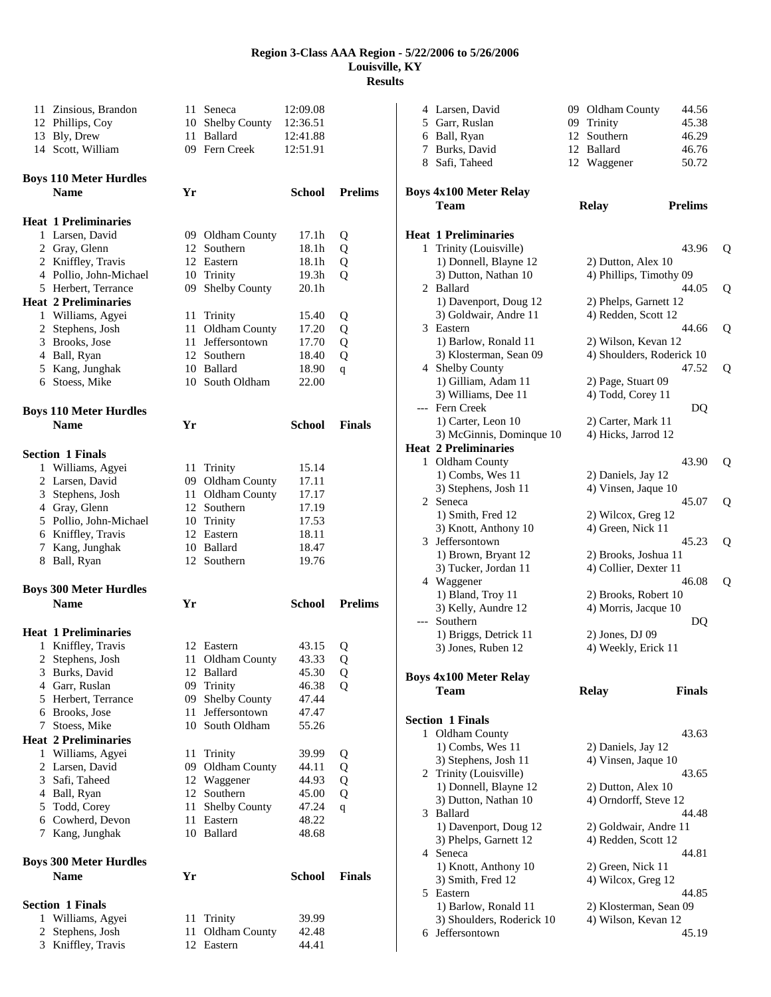| 12 Phillips, Coy<br>13 Bly, Drew | 11 Zinsious, Brandon<br>14 Scott, William | 11 Seneca<br>10 Shelby County<br>11 Ballard<br>09 Fern Creek |               | 12:09.08<br>12:36.51<br>12:41.88<br>12:51.91 |                | 5<br>6<br>7 | 4 Larsen, David<br>Garr, Ruslan<br>Ball, Ryan<br>Burks, David<br>8 Safi, Taheed | 09 Oldham County<br>09 Trinity<br>12 Southern<br>12 Ballard<br>12 Waggener | 44.56<br>45.38<br>46.29<br>46.76<br>50.72 |   |
|----------------------------------|-------------------------------------------|--------------------------------------------------------------|---------------|----------------------------------------------|----------------|-------------|---------------------------------------------------------------------------------|----------------------------------------------------------------------------|-------------------------------------------|---|
| <b>Name</b>                      | <b>Boys 110 Meter Hurdles</b>             | Yr                                                           |               | <b>School</b>                                | <b>Prelims</b> |             | <b>Boys 4x100 Meter Relay</b>                                                   |                                                                            |                                           |   |
|                                  |                                           |                                                              |               |                                              |                |             | Team                                                                            | <b>Relay</b>                                                               | <b>Prelims</b>                            |   |
|                                  | <b>Heat 1 Preliminaries</b>               |                                                              |               |                                              |                |             |                                                                                 |                                                                            |                                           |   |
| 2 Gray, Glenn                    | 1 Larsen, David                           | 09 Oldham County<br>12 Southern                              |               | 17.1h<br>18.1h                               | Q<br>Q         |             | <b>Heat 1 Preliminaries</b><br>1 Trinity (Louisville)                           |                                                                            | 43.96                                     |   |
|                                  | 2 Kniffley, Travis                        | 12 Eastern                                                   |               | 18.1h                                        | Q              |             | 1) Donnell, Blayne 12                                                           | 2) Dutton, Alex 10                                                         |                                           | Q |
|                                  | 4 Pollio, John-Michael                    | 10 Trinity                                                   |               | 19.3 <sub>h</sub>                            | Q              |             | 3) Dutton, Nathan 10                                                            | 4) Phillips, Timothy 09                                                    |                                           |   |
|                                  | 5 Herbert, Terrance                       | 09 Shelby County                                             |               | 20.1 <sub>h</sub>                            |                |             | 2 Ballard                                                                       |                                                                            | 44.05                                     | Q |
|                                  | <b>Heat 2 Preliminaries</b>               |                                                              |               |                                              |                |             | 1) Davenport, Doug 12                                                           | 2) Phelps, Garnett 12                                                      |                                           |   |
|                                  | 1 Williams, Agyei                         | 11 Trinity                                                   |               | 15.40                                        | Q              |             | 3) Goldwair, Andre 11                                                           | 4) Redden, Scott 12                                                        |                                           |   |
|                                  | 2 Stephens, Josh                          | 11 Oldham County                                             |               | 17.20                                        | Q              |             | 3 Eastern                                                                       |                                                                            | 44.66                                     | Q |
|                                  | 3 Brooks, Jose                            | 11                                                           | Jeffersontown | 17.70                                        | Q              |             | 1) Barlow, Ronald 11                                                            | 2) Wilson, Kevan 12                                                        |                                           |   |
| 4 Ball, Ryan                     |                                           | 12 Southern                                                  |               | 18.40                                        | Q              |             | 3) Klosterman, Sean 09                                                          | 4) Shoulders, Roderick 10                                                  |                                           |   |
|                                  | 5 Kang, Junghak                           | 10 Ballard                                                   |               | 18.90                                        | q              |             | 4 Shelby County                                                                 |                                                                            | 47.52                                     | Q |
|                                  | 6 Stoess, Mike                            | 10 South Oldham                                              |               | 22.00                                        |                |             | 1) Gilliam, Adam 11                                                             | 2) Page, Stuart 09                                                         |                                           |   |
|                                  |                                           |                                                              |               |                                              |                |             | 3) Williams, Dee 11                                                             | 4) Todd, Corey 11                                                          |                                           |   |
|                                  | <b>Boys 110 Meter Hurdles</b>             |                                                              |               |                                              |                |             | --- Fern Creek                                                                  |                                                                            | DQ                                        |   |
| <b>Name</b>                      |                                           | Yr                                                           |               | <b>School</b>                                | <b>Finals</b>  |             | 1) Carter, Leon 10                                                              | 2) Carter, Mark 11                                                         |                                           |   |
|                                  |                                           |                                                              |               |                                              |                |             | 3) McGinnis, Dominque 10                                                        | 4) Hicks, Jarrod 12                                                        |                                           |   |
| <b>Section 1 Finals</b>          |                                           |                                                              |               |                                              |                |             | <b>Heat 2 Preliminaries</b>                                                     |                                                                            |                                           |   |
|                                  | 1 Williams, Agyei                         | 11 Trinity                                                   |               | 15.14                                        |                |             | 1 Oldham County                                                                 |                                                                            | 43.90                                     | Q |
|                                  | 2 Larsen, David                           | 09 Oldham County                                             |               | 17.11                                        |                |             | 1) Combs, Wes 11                                                                | 2) Daniels, Jay 12                                                         |                                           |   |
| 3                                | Stephens, Josh                            | 11 Oldham County                                             |               | 17.17                                        |                |             | 3) Stephens, Josh 11                                                            | 4) Vinsen, Jaque 10                                                        |                                           |   |
| 4 Gray, Glenn                    |                                           | 12 Southern                                                  |               | 17.19                                        |                |             | 2 Seneca                                                                        |                                                                            | 45.07                                     | Q |
|                                  | 5 Pollio, John-Michael                    | 10 Trinity                                                   |               | 17.53                                        |                |             | 1) Smith, Fred 12                                                               | 2) Wilcox, Greg 12                                                         |                                           |   |
|                                  | 6 Kniffley, Travis                        | 12 Eastern                                                   |               | 18.11                                        |                |             | 3) Knott, Anthony 10                                                            | 4) Green, Nick 11                                                          |                                           |   |
| 7                                | Kang, Junghak                             | 10 Ballard                                                   |               | 18.47                                        |                |             | 3 Jeffersontown                                                                 |                                                                            | 45.23                                     | Q |
| 8 Ball, Ryan                     |                                           | 12 Southern                                                  |               | 19.76                                        |                |             | 1) Brown, Bryant 12                                                             | 2) Brooks, Joshua 11                                                       |                                           |   |
|                                  |                                           |                                                              |               |                                              |                |             | 3) Tucker, Jordan 11                                                            | 4) Collier, Dexter 11                                                      |                                           |   |
|                                  | <b>Boys 300 Meter Hurdles</b>             |                                                              |               |                                              |                |             | 4 Waggener<br>1) Bland, Troy 11                                                 |                                                                            | 46.08                                     | Q |
| <b>Name</b>                      |                                           | Yr                                                           |               | <b>School</b>                                | <b>Prelims</b> |             | 3) Kelly, Aundre 12                                                             | 2) Brooks, Robert 10<br>4) Morris, Jacque 10                               |                                           |   |
|                                  |                                           |                                                              |               |                                              |                |             | --- Southern                                                                    |                                                                            | DQ                                        |   |
|                                  | <b>Heat 1 Preliminaries</b>               |                                                              |               |                                              |                |             | 1) Briggs, Detrick 11                                                           | 2) Jones, DJ 09                                                            |                                           |   |
|                                  | 1 Kniffley, Travis                        | 12 Eastern                                                   |               | 43.15                                        | Q              |             | 3) Jones, Ruben 12                                                              | 4) Weekly, Erick 11                                                        |                                           |   |
|                                  | 2 Stephens, Josh                          | 11 Oldham County                                             |               | 43.33                                        | Q              |             |                                                                                 |                                                                            |                                           |   |
| 3                                | Burks, David                              | 12 Ballard                                                   |               | 45.30                                        | Q              |             | <b>Boys 4x100 Meter Relay</b>                                                   |                                                                            |                                           |   |
|                                  | 4 Garr, Ruslan                            | 09 Trinity                                                   |               | 46.38                                        | Q              |             | <b>Team</b>                                                                     | <b>Relay</b>                                                               | <b>Finals</b>                             |   |
|                                  | 5 Herbert, Terrance                       | 09 Shelby County                                             |               | 47.44                                        |                |             |                                                                                 |                                                                            |                                           |   |
| 6                                | Brooks, Jose                              | 11                                                           | Jeffersontown | 47.47                                        |                |             | <b>Section 1 Finals</b>                                                         |                                                                            |                                           |   |
|                                  | 7 Stoess, Mike                            | 10                                                           | South Oldham  | 55.26                                        |                |             | 1 Oldham County                                                                 |                                                                            | 43.63                                     |   |
|                                  | <b>Heat 2 Preliminaries</b>               |                                                              |               |                                              |                |             | 1) Combs, Wes 11                                                                | 2) Daniels, Jay 12                                                         |                                           |   |
|                                  | 1 Williams, Agyei                         | 11 Trinity                                                   |               | 39.99                                        | Q              |             | 3) Stephens, Josh 11                                                            | 4) Vinsen, Jaque 10                                                        |                                           |   |
|                                  | 2 Larsen, David                           | 09 Oldham County                                             |               | 44.11                                        | Q              |             | 2 Trinity (Louisville)                                                          |                                                                            | 43.65                                     |   |
| 3                                | Safi, Taheed                              | 12 Waggener                                                  |               | 44.93                                        | Q              |             | 1) Donnell, Blayne 12                                                           | 2) Dutton, Alex 10                                                         |                                           |   |
| 4                                | Ball, Ryan                                | 12 Southern                                                  |               | 45.00                                        | Q              |             | 3) Dutton, Nathan 10                                                            | 4) Orndorff, Steve 12                                                      |                                           |   |
| 5                                | Todd, Corey                               | 11 Shelby County                                             |               | 47.24                                        | q              |             | 3 Ballard                                                                       |                                                                            | 44.48                                     |   |
| 6                                | Cowherd, Devon                            | 11 Eastern                                                   |               | 48.22                                        |                |             | 1) Davenport, Doug 12                                                           | 2) Goldwair, Andre 11                                                      |                                           |   |
|                                  | 7 Kang, Junghak                           | 10 Ballard                                                   |               | 48.68                                        |                |             | 3) Phelps, Garnett 12                                                           | 4) Redden, Scott 12                                                        |                                           |   |
|                                  |                                           |                                                              |               |                                              |                |             | 4 Seneca                                                                        |                                                                            | 44.81                                     |   |
|                                  | <b>Boys 300 Meter Hurdles</b>             |                                                              |               |                                              |                |             | 1) Knott, Anthony 10                                                            | 2) Green, Nick 11                                                          |                                           |   |
| <b>Name</b>                      |                                           | Yr                                                           |               | School                                       | <b>Finals</b>  |             | 3) Smith, Fred 12                                                               | 4) Wilcox, Greg 12                                                         |                                           |   |
|                                  |                                           |                                                              |               |                                              |                |             | 5 Eastern                                                                       |                                                                            | 44.85                                     |   |
| <b>Section 1 Finals</b>          |                                           |                                                              |               |                                              |                |             | 1) Barlow, Ronald 11                                                            | 2) Klosterman, Sean 09                                                     |                                           |   |
|                                  | 1 Williams, Agyei                         | 11 Trinity                                                   |               | 39.99                                        |                |             | 3) Shoulders, Roderick 10                                                       | 4) Wilson, Kevan 12                                                        |                                           |   |
|                                  | 2 Stephens, Josh                          | 11 Oldham County                                             |               | 42.48                                        |                |             | 6 Jeffersontown                                                                 |                                                                            | 45.19                                     |   |
|                                  | 3 Kniffley, Travis                        | 12 Eastern                                                   |               | 44.41                                        |                |             |                                                                                 |                                                                            |                                           |   |

| Relay                                   | Prelims |   |
|-----------------------------------------|---------|---|
|                                         | 43.96   | Q |
| 2) Dutton, Alex 10                      |         |   |
| 4) Phillips, Timothy 09                 |         |   |
|                                         | 44.05   | Q |
| 2) Phelps, Garnett 12                   |         |   |
| 4) Redden, Scott 12                     |         |   |
|                                         | 44.66   | Q |
| 2) Wilson, Kevan 12                     |         |   |
| 4) Shoulders, Roderick 10               |         |   |
|                                         | 47.52   | Q |
| 2) Page, Stuart 09<br>4) Todd, Corey 11 |         |   |
|                                         | DO      |   |
| 2) Carter, Mark 11                      |         |   |
| 4) Hicks, Jarrod 12                     |         |   |
|                                         |         |   |
|                                         | 43.90   | Q |
| 2) Daniels, Jay 12                      |         |   |
| 4) Vinsen, Jaque 10                     |         |   |
|                                         | 45.07   | Q |
| 2) Wilcox, Greg 12                      |         |   |
| 4) Green, Nick 11                       |         |   |
| 2) Brooks, Joshua 11                    | 45.23   | Q |
| 4) Collier, Dexter 11                   |         |   |
|                                         | 46.08   | Q |
| 2) Brooks, Robert 10                    |         |   |
| 4) Morris, Jacque 10                    |         |   |
|                                         | DO      |   |
| 2) Jones, DJ 09                         |         |   |
| 4) Weekly, Erick 11                     |         |   |
|                                         |         |   |

#### **Finals**

|   | tion 1 Finals             |                        |
|---|---------------------------|------------------------|
| 1 | <b>Oldham County</b>      | 43.63                  |
|   | $1)$ Combs, Wes $11$      | 2) Daniels, Jay 12     |
|   | 3) Stephens, Josh 11      | 4) Vinsen, Jaque 10    |
|   | 2 Trinity (Louisville)    | 43.65                  |
|   | 1) Donnell, Blayne 12     | 2) Dutton, Alex 10     |
|   | 3) Dutton, Nathan 10      | 4) Orndorff, Steve 12  |
|   | 3 Ballard                 | 44.48                  |
|   | 1) Davenport, Doug 12     | 2) Goldwair, Andre 11  |
|   | 3) Phelps, Garnett 12     | 4) Redden, Scott 12    |
|   | 4 Seneca                  | 44.81                  |
|   | 1) Knott, Anthony 10      | 2) Green, Nick 11      |
|   | 3) Smith, Fred 12         | 4) Wilcox, Greg 12     |
|   | 5 Eastern                 | 44.85                  |
|   | 1) Barlow, Ronald 11      | 2) Klosterman, Sean 09 |
|   | 3) Shoulders, Roderick 10 | 4) Wilson, Kevan 12    |
|   | 6 Jeffersontown           | 45.19                  |